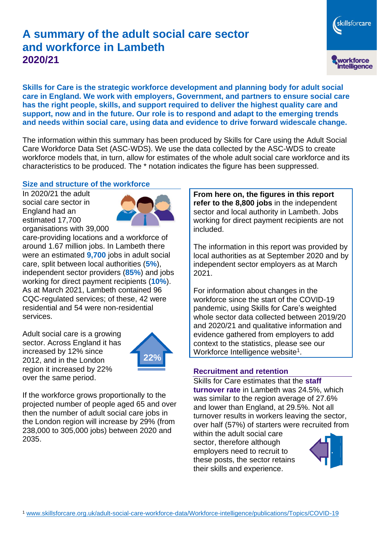# **A summary of the adult social care sector and workforce in Lambeth 2020/21**

workforce<br>intelligence

skillsforcare

**Skills for Care is the strategic workforce development and planning body for adult social care in England. We work with employers, Government, and partners to ensure social care has the right people, skills, and support required to deliver the highest quality care and support, now and in the future. Our role is to respond and adapt to the emerging trends and needs within social care, using data and evidence to drive forward widescale change.**

The information within this summary has been produced by Skills for Care using the Adult Social Care Workforce Data Set (ASC-WDS). We use the data collected by the ASC-WDS to create workforce models that, in turn, allow for estimates of the whole adult social care workforce and its characteristics to be produced. The \* notation indicates the figure has been suppressed.

#### **Size and structure of the workforce**

In 2020/21 the adult social care sector in England had an estimated 17,700 organisations with 39,000



care-providing locations and a workforce of around 1.67 million jobs. In Lambeth there were an estimated **9,700** jobs in adult social care, split between local authorities (**5%**), independent sector providers (**85%**) and jobs working for direct payment recipients (**10%**). As at March 2021, Lambeth contained 96 CQC-regulated services; of these, 42 were residential and 54 were non-residential services.

Adult social care is a growing sector. Across England it has increased by 12% since 2012, and in the London region it increased by 22% over the same period.



If the workforce grows proportionally to the projected number of people aged 65 and over then the number of adult social care jobs in the London region will increase by 29% (from 238,000 to 305,000 jobs) between 2020 and 2035.

**From here on, the figures in this report refer to the 8,800 jobs** in the independent sector and local authority in Lambeth. Jobs working for direct payment recipients are not included.

The information in this report was provided by local authorities as at September 2020 and by independent sector employers as at March 2021.

For information about changes in the workforce since the start of the COVID-19 pandemic, using Skills for Care's weighted whole sector data collected between 2019/20 and 2020/21 and qualitative information and evidence gathered from employers to add context to the statistics, please see our Workforce Intelligence website<sup>1</sup>.

#### **Recruitment and retention**

Skills for Care estimates that the **staff turnover rate** in Lambeth was 24.5%, which was similar to the region average of 27.6% and lower than England, at 29.5%. Not all turnover results in workers leaving the sector, over half (57%) of starters were recruited from

within the adult social care sector, therefore although employers need to recruit to these posts, the sector retains their skills and experience.

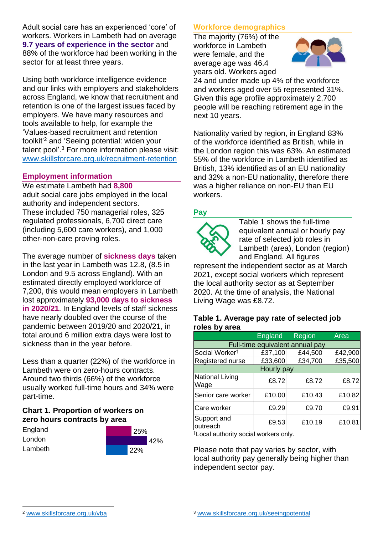Adult social care has an experienced 'core' of workers. Workers in Lambeth had on average **9.7 years of experience in the sector** and 88% of the workforce had been working in the sector for at least three years.

Using both workforce intelligence evidence and our links with employers and stakeholders across England, we know that recruitment and retention is one of the largest issues faced by employers. We have many resources and tools available to help, for example the 'Values-based recruitment and retention toolkit'<sup>2</sup> and 'Seeing potential: widen your talent pool'. <sup>3</sup> For more information please visit: [www.skillsforcare.org.uk/recruitment-retention](http://www.skillsforcare.org.uk/recruitment-retention)

#### **Employment information**

We estimate Lambeth had **8,800** adult social care jobs employed in the local authority and independent sectors. These included 750 managerial roles, 325 regulated professionals, 6,700 direct care (including 5,600 care workers), and 1,000 other-non-care proving roles.

The average number of **sickness days** taken in the last year in Lambeth was 12.8, (8.5 in London and 9.5 across England). With an estimated directly employed workforce of 7,200, this would mean employers in Lambeth lost approximately **93,000 days to sickness in 2020/21**. In England levels of staff sickness have nearly doubled over the course of the pandemic between 2019/20 and 2020/21, in total around 6 million extra days were lost to sickness than in the year before.

Less than a quarter (22%) of the workforce in Lambeth were on zero-hours contracts. Around two thirds (66%) of the workforce usually worked full-time hours and 34% were part-time.

### **Chart 1. Proportion of workers on zero hours contracts by area**

| England | 25% |     |     |
|---------|-----|-----|-----|
| London  |     |     | 42% |
| Lambeth |     | 22% |     |

### **Workforce demographics**

The majority (76%) of the workforce in Lambeth were female, and the average age was 46.4 years old. Workers aged



24 and under made up 4% of the workforce and workers aged over 55 represented 31%. Given this age profile approximately 2,700 people will be reaching retirement age in the next 10 years.

Nationality varied by region, in England 83% of the workforce identified as British, while in the London region this was 63%. An estimated 55% of the workforce in Lambeth identified as British, 13% identified as of an EU nationality and 32% a non-EU nationality, therefore there was a higher reliance on non-EU than EU workers.

### **Pay**



Table 1 shows the full-time equivalent annual or hourly pay rate of selected job roles in Lambeth (area), London (region) and England. All figures

represent the independent sector as at March 2021, except social workers which represent the local authority sector as at September 2020. At the time of analysis, the National Living Wage was £8.72.

#### **Table 1. Average pay rate of selected job roles by area**

|                                 | <b>England</b> | Region  | Area    |  |  |
|---------------------------------|----------------|---------|---------|--|--|
| Full-time equivalent annual pay |                |         |         |  |  |
| Social Worker <sup>t</sup>      | £37,100        | £44,500 | £42,900 |  |  |
| Registered nurse                | £33,600        | £34,700 | £35,500 |  |  |
| Hourly pay                      |                |         |         |  |  |
| <b>National Living</b><br>Wage  | £8.72          | £8.72   | £8.72   |  |  |
| Senior care worker              | £10.00         | £10.43  | £10.82  |  |  |
| Care worker                     | £9.29          | £9.70   | £9.91   |  |  |
| Support and<br>outreach         | £9.53          | £10.19  | £10.81  |  |  |

†Local authority social workers only.

Please note that pay varies by sector, with local authority pay generally being higher than independent sector pay.